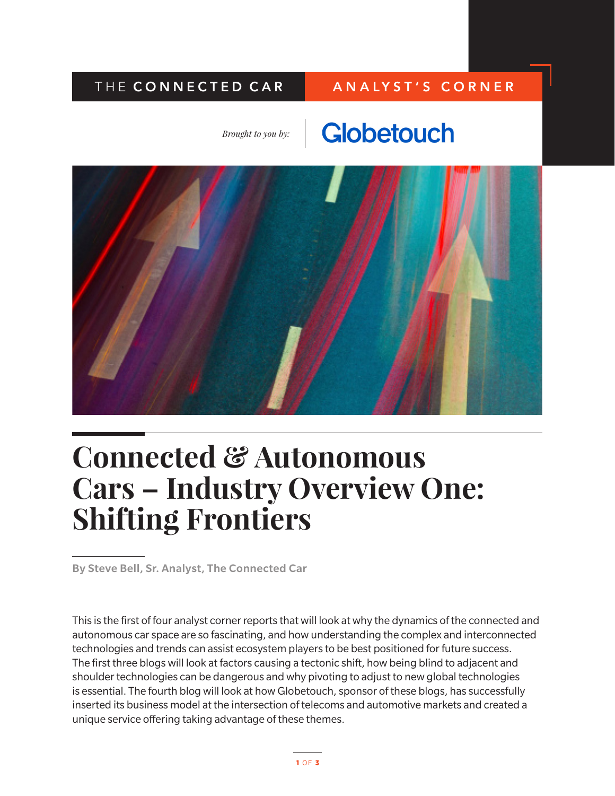### THE CONNECTED CAR | ANALYST'S CORNER

*Brought to you by:*

## Globetouch



# **Connected & Autonomous Cars – Industry Overview One: Shifting Frontiers**

By Steve Bell, Sr. Analyst, The Connected Car

This is the first of four analyst corner reports that will look at why the dynamics of the connected and autonomous car space are so fascinating, and how understanding the complex and interconnected technologies and trends can assist ecosystem players to be best positioned for future success. The first three blogs will look at factors causing a tectonic shift, how being blind to adjacent and shoulder technologies can be dangerous and why pivoting to adjust to new global technologies is essential. The fourth blog will look at how Globetouch, sponsor of these blogs, has successfully inserted its business model at the intersection of telecoms and automotive markets and created a unique service offering taking advantage of these themes.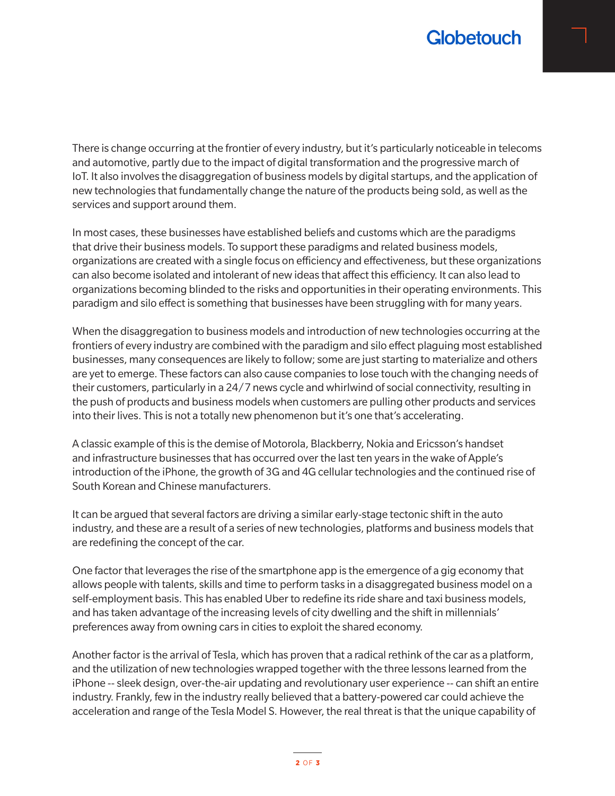

There is change occurring at the frontier of every industry, but it's particularly noticeable in telecoms and automotive, partly due to the impact of digital transformation and the progressive march of IoT. It also involves the disaggregation of business models by digital startups, and the application of new technologies that fundamentally change the nature of the products being sold, as well as the services and support around them.

In most cases, these businesses have established beliefs and customs which are the paradigms that drive their business models. To support these paradigms and related business models, organizations are created with a single focus on efficiency and effectiveness, but these organizations can also become isolated and intolerant of new ideas that affect this efficiency. It can also lead to organizations becoming blinded to the risks and opportunities in their operating environments. This paradigm and silo effect is something that businesses have been struggling with for many years.

When the disaggregation to business models and introduction of new technologies occurring at the frontiers of every industry are combined with the paradigm and silo effect plaguing most established businesses, many consequences are likely to follow; some are just starting to materialize and others are yet to emerge. These factors can also cause companies to lose touch with the changing needs of their customers, particularly in a 24/7 news cycle and whirlwind of social connectivity, resulting in the push of products and business models when customers are pulling other products and services into their lives. This is not a totally new phenomenon but it's one that's accelerating.

A classic example of this is the demise of Motorola, Blackberry, Nokia and Ericsson's handset and infrastructure businesses that has occurred over the last ten years in the wake of Apple's introduction of the iPhone, the growth of 3G and 4G cellular technologies and the continued rise of South Korean and Chinese manufacturers.

It can be argued that several factors are driving a similar early-stage tectonic shift in the auto industry, and these are a result of a series of new technologies, platforms and business models that are redefining the concept of the car.

One factor that leverages the rise of the smartphone app is the emergence of a gig economy that allows people with talents, skills and time to perform tasks in a disaggregated business model on a self-employment basis. This has enabled Uber to redefine its ride share and taxi business models, and has taken advantage of the increasing levels of city dwelling and the shift in millennials' preferences away from owning cars in cities to exploit the shared economy.

Another factor is the arrival of Tesla, which has proven that a radical rethink of the car as a platform, and the utilization of new technologies wrapped together with the three lessons learned from the iPhone -- sleek design, over-the-air updating and revolutionary user experience -- can shift an entire industry. Frankly, few in the industry really believed that a battery-powered car could achieve the acceleration and range of the Tesla Model S. However, the real threat is that the unique capability of